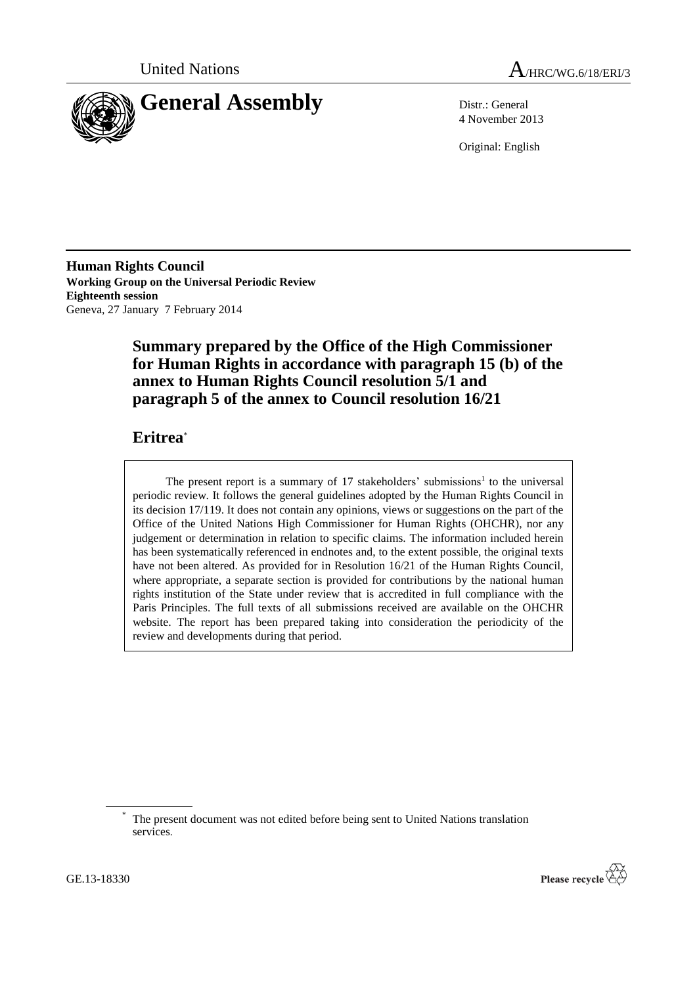



4 November 2013

Original: English

**Human Rights Council Working Group on the Universal Periodic Review Eighteenth session** Geneva, 27 January 7 February 2014

# **Summary prepared by the Office of the High Commissioner for Human Rights in accordance with paragraph 15 (b) of the annex to Human Rights Council resolution 5/1 and paragraph 5 of the annex to Council resolution 16/21**

## **Eritrea**\*

The present report is a summary of  $17$  stakeholders' submissions<sup>1</sup> to the universal periodic review. It follows the general guidelines adopted by the Human Rights Council in its decision 17/119. It does not contain any opinions, views or suggestions on the part of the Office of the United Nations High Commissioner for Human Rights (OHCHR), nor any judgement or determination in relation to specific claims. The information included herein has been systematically referenced in endnotes and, to the extent possible, the original texts have not been altered. As provided for in Resolution 16/21 of the Human Rights Council, where appropriate, a separate section is provided for contributions by the national human rights institution of the State under review that is accredited in full compliance with the Paris Principles. The full texts of all submissions received are available on the OHCHR website. The report has been prepared taking into consideration the periodicity of the review and developments during that period.



The present document was not edited before being sent to United Nations translation services.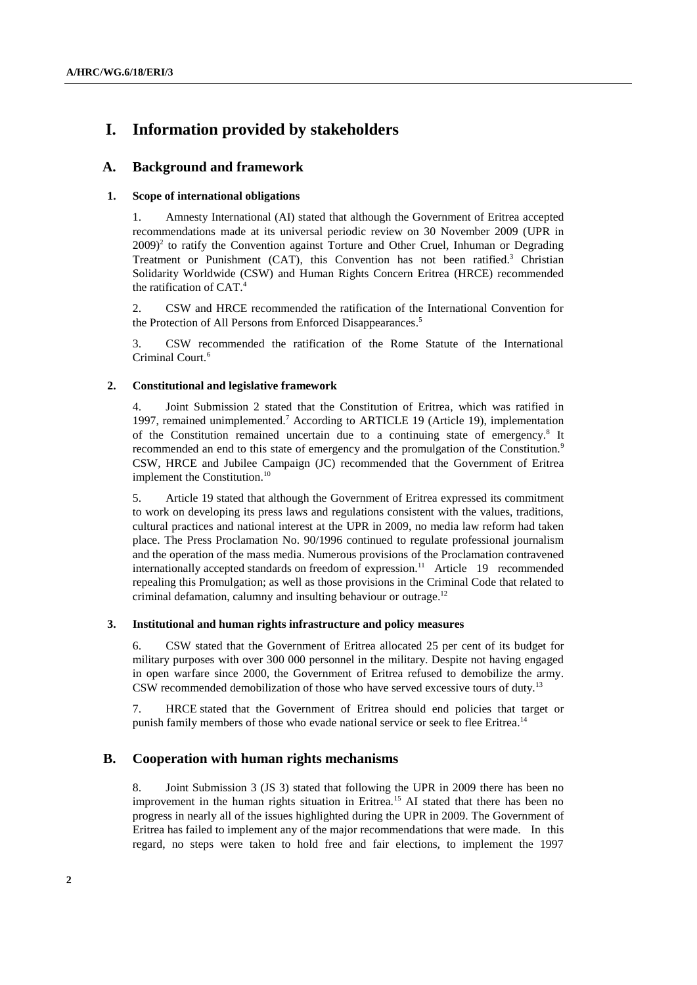# **I. Information provided by stakeholders**

## **A. Background and framework**

## **1. Scope of international obligations**

1. Amnesty International (AI) stated that although the Government of Eritrea accepted recommendations made at its universal periodic review on 30 November 2009 (UPR in  $2009$ <sup>2</sup> to ratify the Convention against Torture and Other Cruel, Inhuman or Degrading Treatment or Punishment  $(CAT)$ , this Convention has not been ratified.<sup>3</sup> Christian Solidarity Worldwide (CSW) and Human Rights Concern Eritrea (HRCE) recommended the ratification of CAT.<sup>4</sup>

2. CSW and HRCE recommended the ratification of the International Convention for the Protection of All Persons from Enforced Disappearances.<sup>5</sup>

3. CSW recommended the ratification of the Rome Statute of the International Criminal Court.<sup>6</sup>

## **2. Constitutional and legislative framework**

4. Joint Submission 2 stated that the Constitution of Eritrea, which was ratified in 1997, remained unimplemented.<sup>7</sup> According to ARTICLE 19 (Article 19), implementation of the Constitution remained uncertain due to a continuing state of emergency.<sup>8</sup> It recommended an end to this state of emergency and the promulgation of the Constitution.<sup>9</sup> CSW, HRCE and Jubilee Campaign (JC) recommended that the Government of Eritrea implement the Constitution.<sup>10</sup>

5. Article 19 stated that although the Government of Eritrea expressed its commitment to work on developing its press laws and regulations consistent with the values, traditions, cultural practices and national interest at the UPR in 2009, no media law reform had taken place. The Press Proclamation No. 90/1996 continued to regulate professional journalism and the operation of the mass media. Numerous provisions of the Proclamation contravened internationally accepted standards on freedom of expression.<sup>11</sup> Article 19 recommended repealing this Promulgation; as well as those provisions in the Criminal Code that related to criminal defamation, calumny and insulting behaviour or outrage.<sup>12</sup>

### **3. Institutional and human rights infrastructure and policy measures**

6. CSW stated that the Government of Eritrea allocated 25 per cent of its budget for military purposes with over 300 000 personnel in the military. Despite not having engaged in open warfare since 2000, the Government of Eritrea refused to demobilize the army. CSW recommended demobilization of those who have served excessive tours of duty.<sup>13</sup>

7. HRCE stated that the Government of Eritrea should end policies that target or punish family members of those who evade national service or seek to flee Eritrea.<sup>14</sup>

## **B. Cooperation with human rights mechanisms**

8. Joint Submission 3 (JS 3) stated that following the UPR in 2009 there has been no improvement in the human rights situation in Eritrea.<sup>15</sup> AI stated that there has been no progress in nearly all of the issues highlighted during the UPR in 2009. The Government of Eritrea has failed to implement any of the major recommendations that were made. In this regard, no steps were taken to hold free and fair elections, to implement the 1997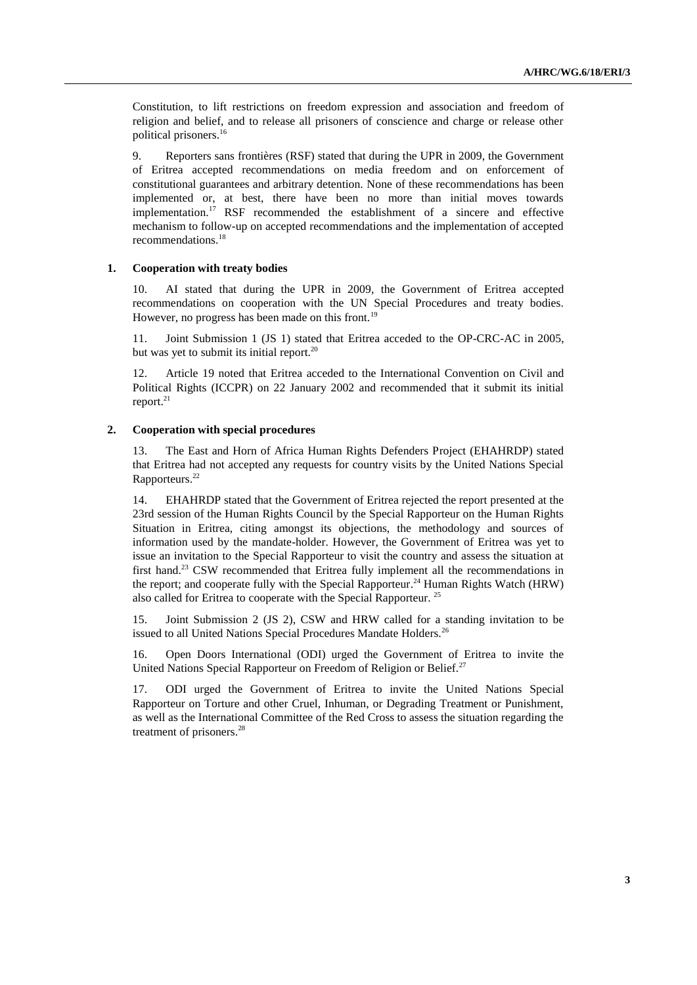Constitution, to lift restrictions on freedom expression and association and freedom of religion and belief, and to release all prisoners of conscience and charge or release other political prisoners.<sup>16</sup>

9. Reporters sans frontières (RSF) stated that during the UPR in 2009, the Government of Eritrea accepted recommendations on media freedom and on enforcement of constitutional guarantees and arbitrary detention. None of these recommendations has been implemented or, at best, there have been no more than initial moves towards implementation.<sup>17</sup> RSF recommended the establishment of a sincere and effective mechanism to follow-up on accepted recommendations and the implementation of accepted recommendations.<sup>18</sup>

#### **1. Cooperation with treaty bodies**

10. AI stated that during the UPR in 2009, the Government of Eritrea accepted recommendations on cooperation with the UN Special Procedures and treaty bodies. However, no progress has been made on this front.<sup>19</sup>

11. Joint Submission 1 (JS 1) stated that Eritrea acceded to the OP-CRC-AC in 2005, but was yet to submit its initial report. $20$ 

12. Article 19 noted that Eritrea acceded to the International Convention on Civil and Political Rights (ICCPR) on 22 January 2002 and recommended that it submit its initial report. $^{21}$ 

### **2. Cooperation with special procedures**

13. The East and Horn of Africa Human Rights Defenders Project (EHAHRDP) stated that Eritrea had not accepted any requests for country visits by the United Nations Special Rapporteurs.<sup>22</sup>

14. EHAHRDP stated that the Government of Eritrea rejected the report presented at the 23rd session of the Human Rights Council by the Special Rapporteur on the Human Rights Situation in Eritrea, citing amongst its objections, the methodology and sources of information used by the mandate-holder. However, the Government of Eritrea was yet to issue an invitation to the Special Rapporteur to visit the country and assess the situation at first hand.<sup>23</sup> CSW recommended that Eritrea fully implement all the recommendations in the report; and cooperate fully with the Special Rapporteur.<sup>24</sup> Human Rights Watch (HRW) also called for Eritrea to cooperate with the Special Rapporteur.<sup>25</sup>

15. Joint Submission 2 (JS 2), CSW and HRW called for a standing invitation to be issued to all United Nations Special Procedures Mandate Holders.<sup>26</sup>

16. Open Doors International (ODI) urged the Government of Eritrea to invite the United Nations Special Rapporteur on Freedom of Religion or Belief.<sup>27</sup>

17. ODI urged the Government of Eritrea to invite the United Nations Special Rapporteur on Torture and other Cruel, Inhuman, or Degrading Treatment or Punishment, as well as the International Committee of the Red Cross to assess the situation regarding the treatment of prisoners. 28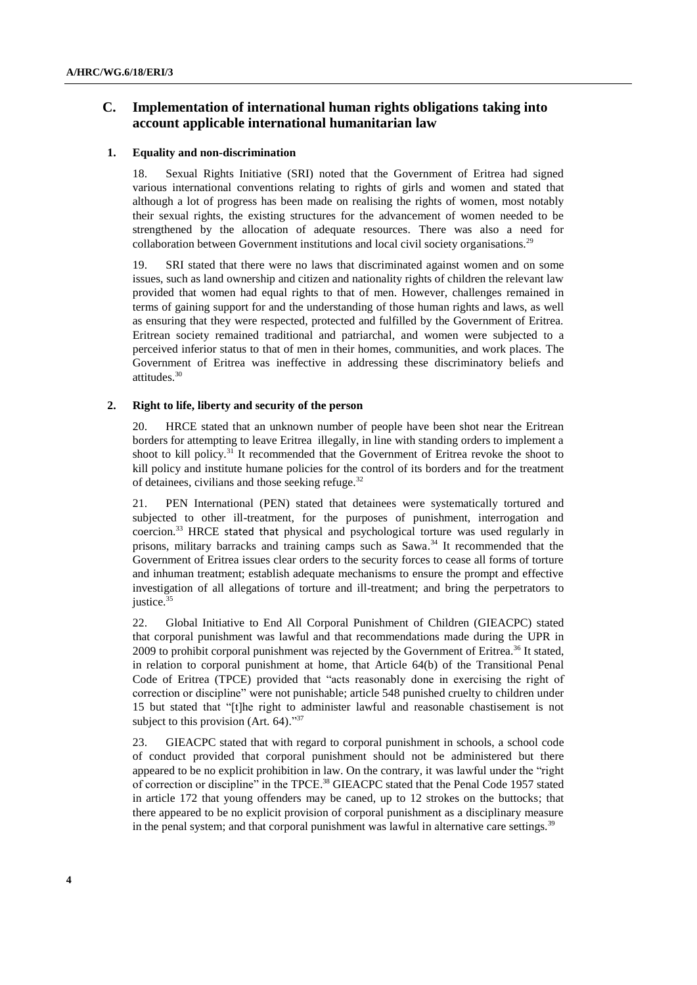## **C. Implementation of international human rights obligations taking into account applicable international humanitarian law**

### **1. Equality and non-discrimination**

18. Sexual Rights Initiative (SRI) noted that the Government of Eritrea had signed various international conventions relating to rights of girls and women and stated that although a lot of progress has been made on realising the rights of women, most notably their sexual rights, the existing structures for the advancement of women needed to be strengthened by the allocation of adequate resources. There was also a need for collaboration between Government institutions and local civil society organisations.<sup>29</sup>

19. SRI stated that there were no laws that discriminated against women and on some issues, such as land ownership and citizen and nationality rights of children the relevant law provided that women had equal rights to that of men. However, challenges remained in terms of gaining support for and the understanding of those human rights and laws, as well as ensuring that they were respected, protected and fulfilled by the Government of Eritrea. Eritrean society remained traditional and patriarchal, and women were subjected to a perceived inferior status to that of men in their homes, communities, and work places. The Government of Eritrea was ineffective in addressing these discriminatory beliefs and attitudes.<sup>30</sup>

### **2. Right to life, liberty and security of the person**

20. HRCE stated that an unknown number of people have been shot near the Eritrean borders for attempting to leave Eritrea illegally, in line with standing orders to implement a shoot to kill policy. $31$  It recommended that the Government of Eritrea revoke the shoot to kill policy and institute humane policies for the control of its borders and for the treatment of detainees, civilians and those seeking refuge.<sup>32</sup>

21. PEN International (PEN) stated that detainees were systematically tortured and subjected to other ill-treatment, for the purposes of punishment, interrogation and coercion.<sup>33</sup> HRCE stated that physical and psychological torture was used regularly in prisons, military barracks and training camps such as Sawa. <sup>34</sup> It recommended that the Government of Eritrea issues clear orders to the security forces to cease all forms of torture and inhuman treatment; establish adequate mechanisms to ensure the prompt and effective investigation of all allegations of torture and ill-treatment; and bring the perpetrators to justice.<sup>35</sup>

22. Global Initiative to End All Corporal Punishment of Children (GIEACPC) stated that corporal punishment was lawful and that recommendations made during the UPR in 2009 to prohibit corporal punishment was rejected by the Government of Eritrea.<sup>36</sup> It stated, in relation to corporal punishment at home, that Article 64(b) of the Transitional Penal Code of Eritrea (TPCE) provided that "acts reasonably done in exercising the right of correction or discipline" were not punishable; article 548 punished cruelty to children under 15 but stated that "[t]he right to administer lawful and reasonable chastisement is not subject to this provision (Art. 64)."<sup>37</sup>

23. GIEACPC stated that with regard to corporal punishment in schools, a school code of conduct provided that corporal punishment should not be administered but there appeared to be no explicit prohibition in law. On the contrary, it was lawful under the "right of correction or discipline" in the TPCE.<sup>38</sup> GIEACPC stated that the Penal Code 1957 stated in article 172 that young offenders may be caned, up to 12 strokes on the buttocks; that there appeared to be no explicit provision of corporal punishment as a disciplinary measure in the penal system; and that corporal punishment was lawful in alternative care settings.<sup>39</sup>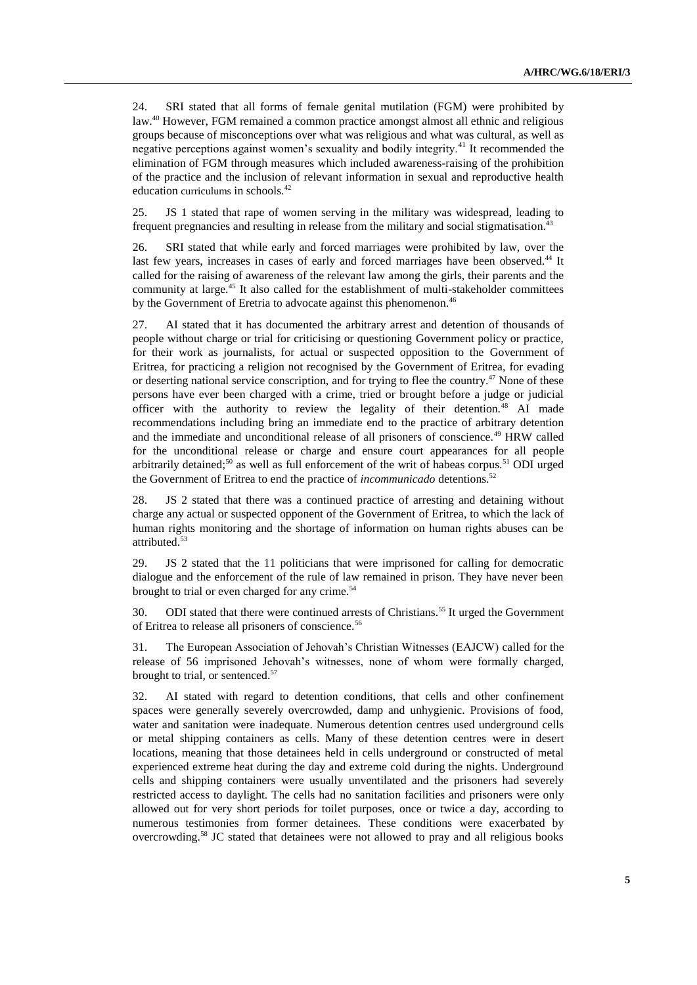24. SRI stated that all forms of female genital mutilation (FGM) were prohibited by law.<sup>40</sup> However, FGM remained a common practice amongst almost all ethnic and religious groups because of misconceptions over what was religious and what was cultural, as well as negative perceptions against women's sexuality and bodily integrity.<sup>41</sup> It recommended the elimination of FGM through measures which included awareness-raising of the prohibition of the practice and the inclusion of relevant information in sexual and reproductive health education curriculums in schools.<sup>42</sup>

25. JS 1 stated that rape of women serving in the military was widespread, leading to frequent pregnancies and resulting in release from the military and social stigmatisation.<sup>43</sup>

26. SRI stated that while early and forced marriages were prohibited by law, over the last few years, increases in cases of early and forced marriages have been observed.<sup>44</sup> It called for the raising of awareness of the relevant law among the girls, their parents and the community at large.<sup>45</sup> It also called for the establishment of multi-stakeholder committees by the Government of Eretria to advocate against this phenomenon.<sup>46</sup>

27. AI stated that it has documented the arbitrary arrest and detention of thousands of people without charge or trial for criticising or questioning Government policy or practice, for their work as journalists, for actual or suspected opposition to the Government of Eritrea, for practicing a religion not recognised by the Government of Eritrea, for evading or deserting national service conscription, and for trying to flee the country.<sup>47</sup> None of these persons have ever been charged with a crime, tried or brought before a judge or judicial officer with the authority to review the legality of their detention.<sup>48</sup> AI made recommendations including bring an immediate end to the practice of arbitrary detention and the immediate and unconditional release of all prisoners of conscience.<sup>49</sup> HRW called for the unconditional release or charge and ensure court appearances for all people arbitrarily detained;<sup>50</sup> as well as full enforcement of the writ of habeas corpus.<sup>51</sup> ODI urged the Government of Eritrea to end the practice of *incommunicado* detentions.<sup>52</sup>

28. JS 2 stated that there was a continued practice of arresting and detaining without charge any actual or suspected opponent of the Government of Eritrea, to which the lack of human rights monitoring and the shortage of information on human rights abuses can be attributed.<sup>53</sup>

29. JS 2 stated that the 11 politicians that were imprisoned for calling for democratic dialogue and the enforcement of the rule of law remained in prison. They have never been brought to trial or even charged for any crime.<sup>54</sup>

30. ODI stated that there were continued arrests of Christians. <sup>55</sup> It urged the Government of Eritrea to release all prisoners of conscience.<sup>56</sup>

31. The European Association of Jehovah's Christian Witnesses (EAJCW) called for the release of 56 imprisoned Jehovah's witnesses, none of whom were formally charged, brought to trial, or sentenced.<sup>57</sup>

32. AI stated with regard to detention conditions, that cells and other confinement spaces were generally severely overcrowded, damp and unhygienic. Provisions of food, water and sanitation were inadequate. Numerous detention centres used underground cells or metal shipping containers as cells. Many of these detention centres were in desert locations, meaning that those detainees held in cells underground or constructed of metal experienced extreme heat during the day and extreme cold during the nights. Underground cells and shipping containers were usually unventilated and the prisoners had severely restricted access to daylight. The cells had no sanitation facilities and prisoners were only allowed out for very short periods for toilet purposes, once or twice a day, according to numerous testimonies from former detainees. These conditions were exacerbated by overcrowding. <sup>58</sup> JC stated that detainees were not allowed to pray and all religious books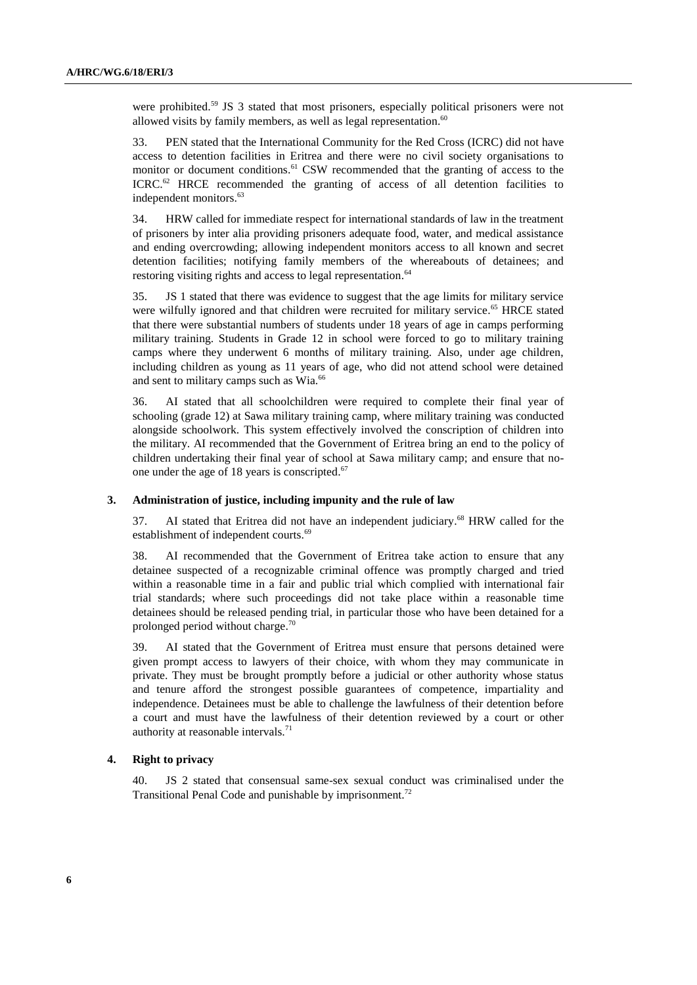were prohibited.<sup>59</sup> JS 3 stated that most prisoners, especially political prisoners were not allowed visits by family members, as well as legal representation. $60$ 

33. PEN stated that the International Community for the Red Cross (ICRC) did not have access to detention facilities in Eritrea and there were no civil society organisations to monitor or document conditions.<sup>61</sup> CSW recommended that the granting of access to the ICRC.<sup>62</sup> HRCE recommended the granting of access of all detention facilities to independent monitors. 63

34. HRW called for immediate respect for international standards of law in the treatment of prisoners by inter alia providing prisoners adequate food, water, and medical assistance and ending overcrowding; allowing independent monitors access to all known and secret detention facilities; notifying family members of the whereabouts of detainees; and restoring visiting rights and access to legal representation.<sup>64</sup>

35. JS 1 stated that there was evidence to suggest that the age limits for military service were wilfully ignored and that children were recruited for military service.<sup>65</sup> HRCE stated that there were substantial numbers of students under 18 years of age in camps performing military training. Students in Grade 12 in school were forced to go to military training camps where they underwent 6 months of military training. Also, under age children, including children as young as 11 years of age, who did not attend school were detained and sent to military camps such as Wia.<sup>66</sup>

36. AI stated that all schoolchildren were required to complete their final year of schooling (grade 12) at Sawa military training camp, where military training was conducted alongside schoolwork. This system effectively involved the conscription of children into the military. AI recommended that the Government of Eritrea bring an end to the policy of children undertaking their final year of school at Sawa military camp; and ensure that noone under the age of 18 years is conscripted.<sup>67</sup>

## **3. Administration of justice, including impunity and the rule of law**

37. AI stated that Eritrea did not have an independent judiciary. <sup>68</sup> HRW called for the establishment of independent courts.<sup>69</sup>

38. AI recommended that the Government of Eritrea take action to ensure that any detainee suspected of a recognizable criminal offence was promptly charged and tried within a reasonable time in a fair and public trial which complied with international fair trial standards; where such proceedings did not take place within a reasonable time detainees should be released pending trial, in particular those who have been detained for a prolonged period without charge.<sup>70</sup>

39. AI stated that the Government of Eritrea must ensure that persons detained were given prompt access to lawyers of their choice, with whom they may communicate in private. They must be brought promptly before a judicial or other authority whose status and tenure afford the strongest possible guarantees of competence, impartiality and independence. Detainees must be able to challenge the lawfulness of their detention before a court and must have the lawfulness of their detention reviewed by a court or other authority at reasonable intervals.<sup>71</sup>

#### **4. Right to privacy**

40. JS 2 stated that consensual same-sex sexual conduct was criminalised under the Transitional Penal Code and punishable by imprisonment.<sup>72</sup>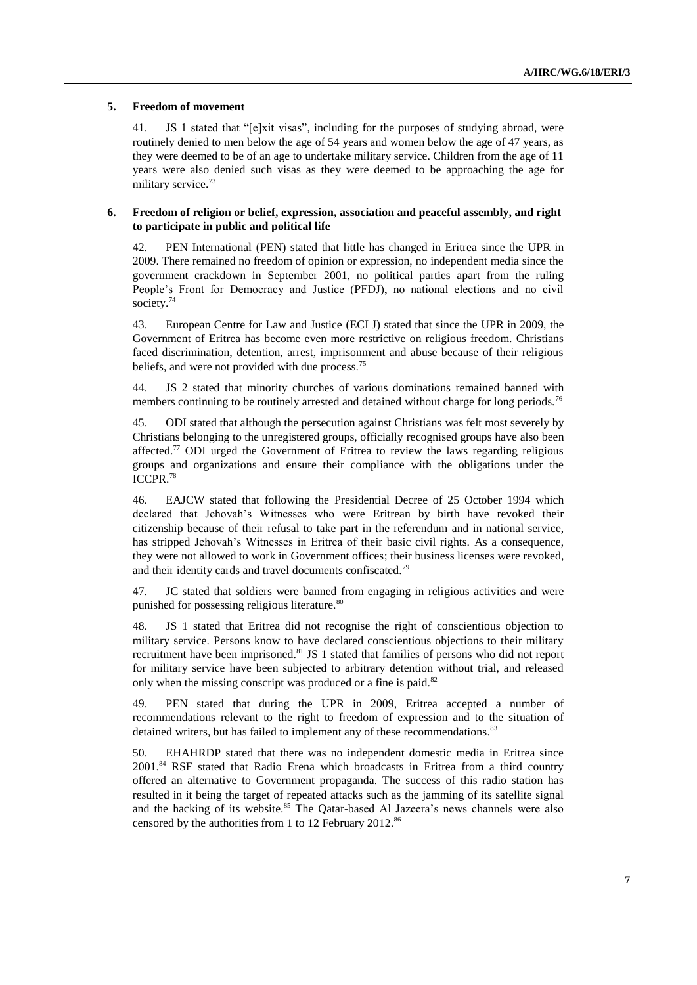#### **5. Freedom of movement**

41. JS 1 stated that "[e]xit visas", including for the purposes of studying abroad, were routinely denied to men below the age of 54 years and women below the age of 47 years, as they were deemed to be of an age to undertake military service. Children from the age of 11 years were also denied such visas as they were deemed to be approaching the age for military service.<sup>73</sup>

### **6. Freedom of religion or belief, expression, association and peaceful assembly, and right to participate in public and political life**

42. PEN International (PEN) stated that little has changed in Eritrea since the UPR in 2009. There remained no freedom of opinion or expression, no independent media since the government crackdown in September 2001, no political parties apart from the ruling People's Front for Democracy and Justice (PFDJ), no national elections and no civil society.<sup>74</sup>

43. European Centre for Law and Justice (ECLJ) stated that since the UPR in 2009, the Government of Eritrea has become even more restrictive on religious freedom. Christians faced discrimination, detention, arrest, imprisonment and abuse because of their religious beliefs, and were not provided with due process.<sup>75</sup>

44. JS 2 stated that minority churches of various dominations remained banned with members continuing to be routinely arrested and detained without charge for long periods.<sup>76</sup>

45. ODI stated that although the persecution against Christians was felt most severely by Christians belonging to the unregistered groups, officially recognised groups have also been affected.<sup>77</sup> ODI urged the Government of Eritrea to review the laws regarding religious groups and organizations and ensure their compliance with the obligations under the ICCPR.<sup>78</sup>

46. EAJCW stated that following the Presidential Decree of 25 October 1994 which declared that Jehovah's Witnesses who were Eritrean by birth have revoked their citizenship because of their refusal to take part in the referendum and in national service, has stripped Jehovah's Witnesses in Eritrea of their basic civil rights. As a consequence, they were not allowed to work in Government offices; their business licenses were revoked, and their identity cards and travel documents confiscated.<sup>79</sup>

47. JC stated that soldiers were banned from engaging in religious activities and were punished for possessing religious literature.<sup>80</sup>

48. JS 1 stated that Eritrea did not recognise the right of conscientious objection to military service. Persons know to have declared conscientious objections to their military recruitment have been imprisoned.<sup>81</sup> JS 1 stated that families of persons who did not report for military service have been subjected to arbitrary detention without trial, and released only when the missing conscript was produced or a fine is paid.<sup>82</sup>

49. PEN stated that during the UPR in 2009, Eritrea accepted a number of recommendations relevant to the right to freedom of expression and to the situation of detained writers, but has failed to implement any of these recommendations.<sup>83</sup>

50. EHAHRDP stated that there was no independent domestic media in Eritrea since 2001.<sup>84</sup> RSF stated that Radio Erena which broadcasts in Eritrea from a third country offered an alternative to Government propaganda. The success of this radio station has resulted in it being the target of repeated attacks such as the jamming of its satellite signal and the hacking of its website.<sup>85</sup> The Qatar-based Al Jazeera's news channels were also censored by the authorities from 1 to 12 February 2012.<sup>86</sup>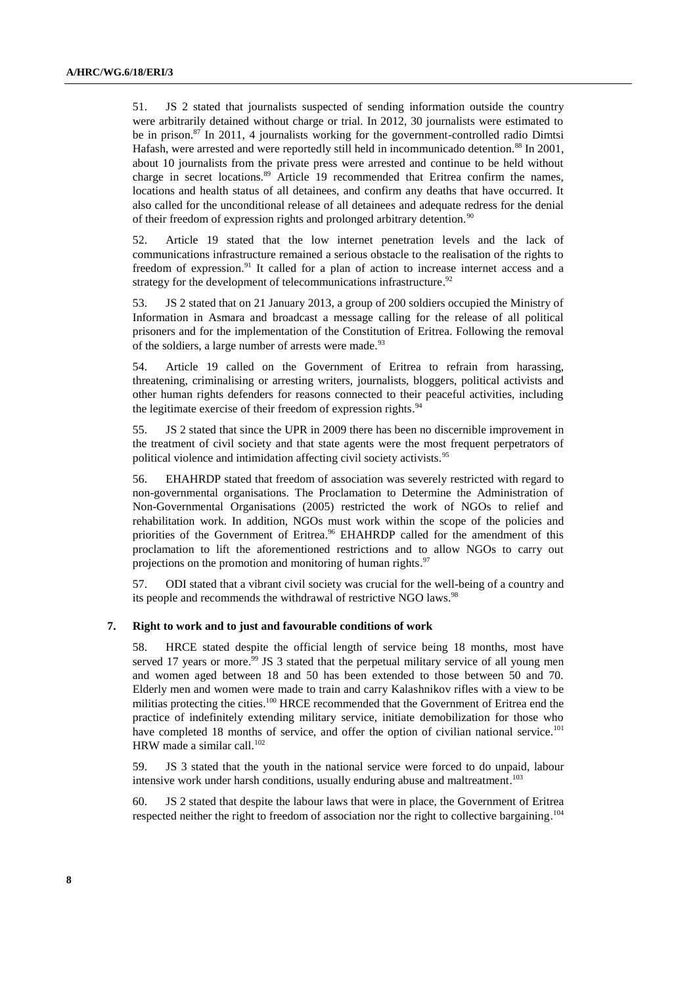51. JS 2 stated that journalists suspected of sending information outside the country were arbitrarily detained without charge or trial. In 2012, 30 journalists were estimated to be in prison.<sup>87</sup> In 2011, 4 journalists working for the government-controlled radio Dimtsi Hafash, were arrested and were reportedly still held in incommunicado detention.<sup>88</sup> In 2001, about 10 journalists from the private press were arrested and continue to be held without charge in secret locations.<sup>89</sup> Article 19 recommended that Eritrea confirm the names, locations and health status of all detainees, and confirm any deaths that have occurred. It also called for the unconditional release of all detainees and adequate redress for the denial of their freedom of expression rights and prolonged arbitrary detention.<sup>90</sup>

52. Article 19 stated that the low internet penetration levels and the lack of communications infrastructure remained a serious obstacle to the realisation of the rights to freedom of expression.<sup>91</sup> It called for a plan of action to increase internet access and a strategy for the development of telecommunications infrastructure.<sup>92</sup>

53. JS 2 stated that on 21 January 2013, a group of 200 soldiers occupied the Ministry of Information in Asmara and broadcast a message calling for the release of all political prisoners and for the implementation of the Constitution of Eritrea. Following the removal of the soldiers, a large number of arrests were made.<sup>93</sup>

54. Article 19 called on the Government of Eritrea to refrain from harassing, threatening, criminalising or arresting writers, journalists, bloggers, political activists and other human rights defenders for reasons connected to their peaceful activities, including the legitimate exercise of their freedom of expression rights.<sup>94</sup>

55. JS 2 stated that since the UPR in 2009 there has been no discernible improvement in the treatment of civil society and that state agents were the most frequent perpetrators of political violence and intimidation affecting civil society activists.<sup>95</sup>

56. EHAHRDP stated that freedom of association was severely restricted with regard to non-governmental organisations. The Proclamation to Determine the Administration of Non-Governmental Organisations (2005) restricted the work of NGOs to relief and rehabilitation work. In addition, NGOs must work within the scope of the policies and priorities of the Government of Eritrea.<sup>96</sup> EHAHRDP called for the amendment of this proclamation to lift the aforementioned restrictions and to allow NGOs to carry out projections on the promotion and monitoring of human rights.<sup>97</sup>

57. ODI stated that a vibrant civil society was crucial for the well-being of a country and its people and recommends the withdrawal of restrictive NGO laws.<sup>98</sup>

#### **7. Right to work and to just and favourable conditions of work**

58. HRCE stated despite the official length of service being 18 months, most have served 17 years or more.<sup>99</sup> JS 3 stated that the perpetual military service of all young men and women aged between 18 and 50 has been extended to those between 50 and 70. Elderly men and women were made to train and carry Kalashnikov rifles with a view to be militias protecting the cities.<sup>100</sup> HRCE recommended that the Government of Eritrea end the practice of indefinitely extending military service, initiate demobilization for those who have completed 18 months of service, and offer the option of civilian national service.<sup>101</sup> HRW made a similar call.<sup>102</sup>

59. JS 3 stated that the youth in the national service were forced to do unpaid, labour intensive work under harsh conditions, usually enduring abuse and maltreatment. 103

60. JS 2 stated that despite the labour laws that were in place, the Government of Eritrea respected neither the right to freedom of association nor the right to collective bargaining.<sup>104</sup>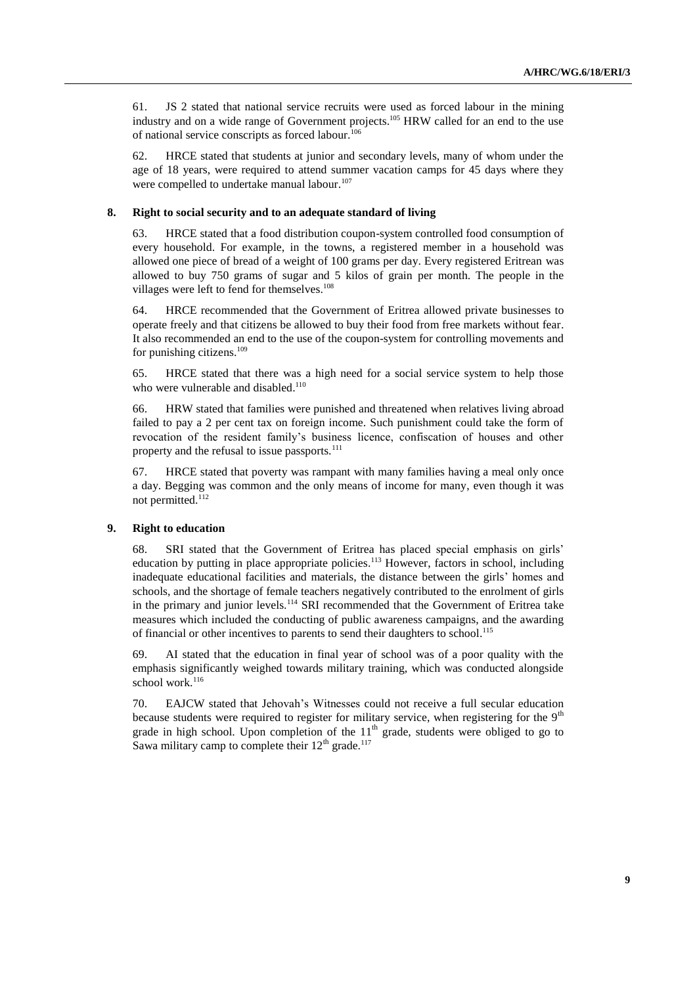61. JS 2 stated that national service recruits were used as forced labour in the mining industry and on a wide range of Government projects. <sup>105</sup> HRW called for an end to the use of national service conscripts as forced labour.<sup>106</sup>

62. HRCE stated that students at junior and secondary levels, many of whom under the age of 18 years, were required to attend summer vacation camps for 45 days where they were compelled to undertake manual labour.<sup>107</sup>

#### **8. Right to social security and to an adequate standard of living**

63. HRCE stated that a food distribution coupon-system controlled food consumption of every household. For example, in the towns, a registered member in a household was allowed one piece of bread of a weight of 100 grams per day. Every registered Eritrean was allowed to buy 750 grams of sugar and 5 kilos of grain per month. The people in the villages were left to fend for themselves.<sup>108</sup>

64. HRCE recommended that the Government of Eritrea allowed private businesses to operate freely and that citizens be allowed to buy their food from free markets without fear. It also recommended an end to the use of the coupon-system for controlling movements and for punishing citizens. 109

65. HRCE stated that there was a high need for a social service system to help those who were vulnerable and disabled.<sup>110</sup>

66. HRW stated that families were punished and threatened when relatives living abroad failed to pay a 2 per cent tax on foreign income. Such punishment could take the form of revocation of the resident family's business licence, confiscation of houses and other property and the refusal to issue passports.<sup>111</sup>

67. HRCE stated that poverty was rampant with many families having a meal only once a day. Begging was common and the only means of income for many, even though it was not permitted.<sup>112</sup>

#### **9. Right to education**

68. SRI stated that the Government of Eritrea has placed special emphasis on girls' education by putting in place appropriate policies.<sup>113</sup> However, factors in school, including inadequate educational facilities and materials, the distance between the girls' homes and schools, and the shortage of female teachers negatively contributed to the enrolment of girls in the primary and junior levels.<sup>114</sup> SRI recommended that the Government of Eritrea take measures which included the conducting of public awareness campaigns, and the awarding of financial or other incentives to parents to send their daughters to school.<sup>115</sup>

69. AI stated that the education in final year of school was of a poor quality with the emphasis significantly weighed towards military training, which was conducted alongside school work.<sup>116</sup>

70. EAJCW stated that Jehovah's Witnesses could not receive a full secular education because students were required to register for military service, when registering for the  $9<sup>th</sup>$ grade in high school. Upon completion of the  $11<sup>th</sup>$  grade, students were obliged to go to Sawa military camp to complete their  $12<sup>th</sup>$  grade.<sup>117</sup>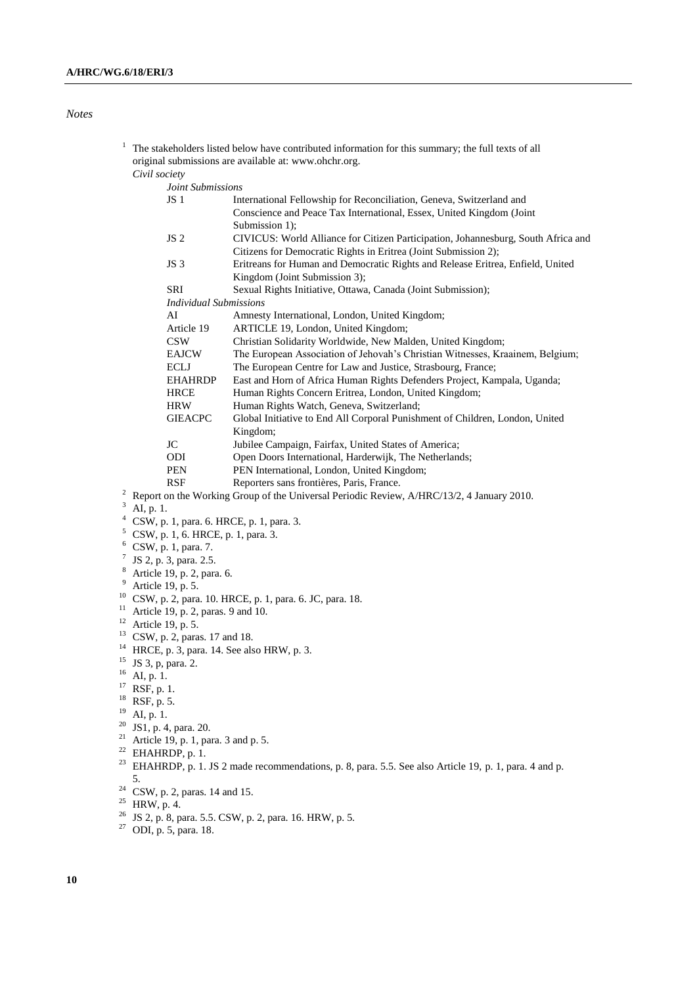## *Notes*

| 1                |                                                                                                                    | The stakeholders listed below have contributed information for this summary; the full texts of all                                                   |  |
|------------------|--------------------------------------------------------------------------------------------------------------------|------------------------------------------------------------------------------------------------------------------------------------------------------|--|
|                  |                                                                                                                    | original submissions are available at: www.ohchr.org.                                                                                                |  |
|                  | Civil society                                                                                                      |                                                                                                                                                      |  |
|                  | Joint Submissions                                                                                                  |                                                                                                                                                      |  |
|                  | JS <sub>1</sub>                                                                                                    | International Fellowship for Reconciliation, Geneva, Switzerland and                                                                                 |  |
|                  |                                                                                                                    | Conscience and Peace Tax International, Essex, United Kingdom (Joint<br>Submission 1);                                                               |  |
|                  | JS <sub>2</sub>                                                                                                    | CIVICUS: World Alliance for Citizen Participation, Johannesburg, South Africa and<br>Citizens for Democratic Rights in Eritrea (Joint Submission 2); |  |
|                  | JS 3                                                                                                               | Eritreans for Human and Democratic Rights and Release Eritrea, Enfield, United                                                                       |  |
|                  |                                                                                                                    | Kingdom (Joint Submission 3);                                                                                                                        |  |
|                  | <b>SRI</b>                                                                                                         | Sexual Rights Initiative, Ottawa, Canada (Joint Submission);                                                                                         |  |
|                  | <b>Individual Submissions</b>                                                                                      |                                                                                                                                                      |  |
|                  | AI                                                                                                                 | Amnesty International, London, United Kingdom;                                                                                                       |  |
|                  | Article 19                                                                                                         | ARTICLE 19, London, United Kingdom;                                                                                                                  |  |
|                  | <b>CSW</b>                                                                                                         | Christian Solidarity Worldwide, New Malden, United Kingdom;                                                                                          |  |
|                  | <b>EAJCW</b>                                                                                                       | The European Association of Jehovah's Christian Witnesses, Kraainem, Belgium;                                                                        |  |
|                  | ECLJ                                                                                                               | The European Centre for Law and Justice, Strasbourg, France;                                                                                         |  |
|                  | <b>EHAHRDP</b>                                                                                                     | East and Horn of Africa Human Rights Defenders Project, Kampala, Uganda;                                                                             |  |
|                  | <b>HRCE</b>                                                                                                        | Human Rights Concern Eritrea, London, United Kingdom;                                                                                                |  |
|                  | HRW                                                                                                                | Human Rights Watch, Geneva, Switzerland;                                                                                                             |  |
|                  | <b>GIEACPC</b>                                                                                                     | Global Initiative to End All Corporal Punishment of Children, London, United<br>Kingdom;                                                             |  |
|                  | JC                                                                                                                 | Jubilee Campaign, Fairfax, United States of America;                                                                                                 |  |
|                  | ODI                                                                                                                | Open Doors International, Harderwijk, The Netherlands;                                                                                               |  |
|                  | <b>PEN</b>                                                                                                         | PEN International, London, United Kingdom;                                                                                                           |  |
|                  | <b>RSF</b>                                                                                                         | Reporters sans frontières, Paris, France.                                                                                                            |  |
| $\boldsymbol{2}$ |                                                                                                                    | Report on the Working Group of the Universal Periodic Review, A/HRC/13/2, 4 January 2010.                                                            |  |
| 3                | AI, p. 1.                                                                                                          |                                                                                                                                                      |  |
| $\overline{4}$   | CSW, p. 1, para. 6. HRCE, p. 1, para. 3.                                                                           |                                                                                                                                                      |  |
| 5                | CSW, p. 1, 6. HRCE, p. 1, para. 3.                                                                                 |                                                                                                                                                      |  |
| 6                | CSW, p. 1, para. 7.                                                                                                |                                                                                                                                                      |  |
| 7                | JS 2, p. 3, para. 2.5.                                                                                             |                                                                                                                                                      |  |
| 8                | Article 19, p. 2, para. 6.                                                                                         |                                                                                                                                                      |  |
| 9                | Article 19, p. 5.                                                                                                  |                                                                                                                                                      |  |
| 10               | CSW, p. 2, para. 10. HRCE, p. 1, para. 6. JC, para. 18.                                                            |                                                                                                                                                      |  |
| 11               | Article 19, p. 2, paras. 9 and 10.                                                                                 |                                                                                                                                                      |  |
| 12               | Article 19, p. 5.                                                                                                  |                                                                                                                                                      |  |
| 14               | <sup>13</sup> CSW, p. 2, paras. 17 and 18.                                                                         |                                                                                                                                                      |  |
| 15               | HRCE, p. 3, para. 14. See also HRW, p. 3.                                                                          |                                                                                                                                                      |  |
| 16               | JS 3, p, para. 2.                                                                                                  |                                                                                                                                                      |  |
| 17               | AI, p. 1.                                                                                                          |                                                                                                                                                      |  |
| 18               | RSF, p. 1.                                                                                                         |                                                                                                                                                      |  |
| 19               | RSF, p. 5.<br>AI, p. 1.                                                                                            |                                                                                                                                                      |  |
| 20               | JS1, p. 4, para. 20.                                                                                               |                                                                                                                                                      |  |
| 21               | Article 19, p. 1, para. 3 and p. 5.                                                                                |                                                                                                                                                      |  |
|                  | <sup>22</sup> EHAHRDP, p. 1.                                                                                       |                                                                                                                                                      |  |
|                  | <sup>23</sup> EHAHRDP, p. 1. JS 2 made recommendations, p. 8, para. 5.5. See also Article 19, p. 1, para. 4 and p. |                                                                                                                                                      |  |
|                  | 5.                                                                                                                 |                                                                                                                                                      |  |
| 24               | CSW, p. 2, paras. 14 and 15.                                                                                       |                                                                                                                                                      |  |
|                  | $^{25}$ HRW, p. 4.                                                                                                 |                                                                                                                                                      |  |
|                  | <sup>26</sup> JS 2, p. 8, para. 5.5. CSW, p. 2, para. 16. HRW, p. 5.                                               |                                                                                                                                                      |  |
| 27               | ODI, p. 5, para. 18.                                                                                               |                                                                                                                                                      |  |
|                  |                                                                                                                    |                                                                                                                                                      |  |
|                  |                                                                                                                    |                                                                                                                                                      |  |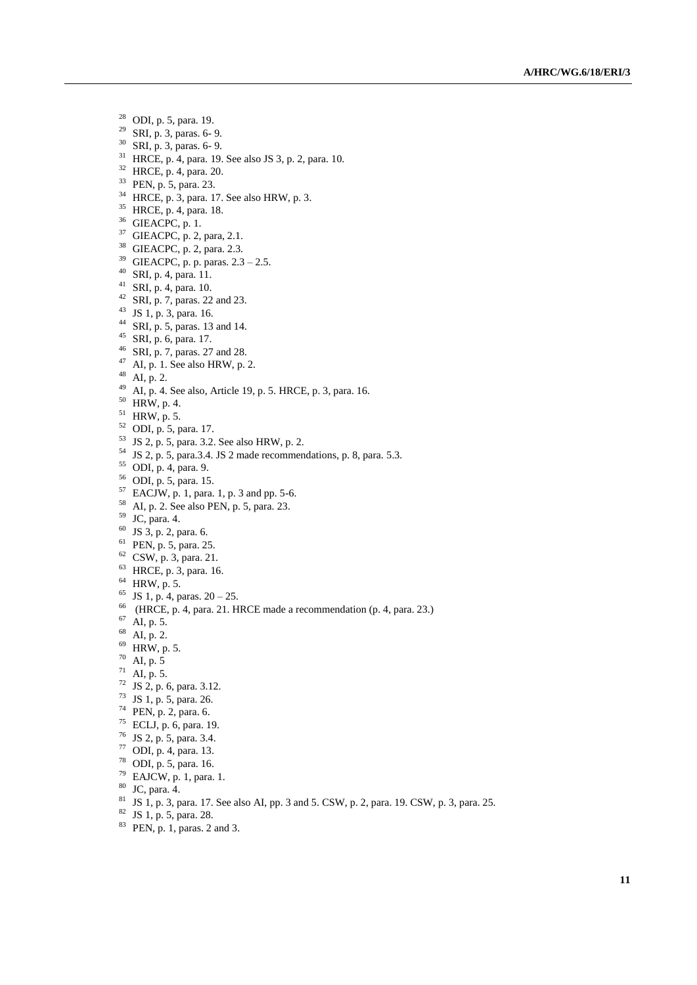- ODI, p. 5, para. 19.
- SRI, p. 3, paras. 6- 9.
- SRI, p. 3, paras. 6- 9.
- HRCE, p. 4, para. 19. See also JS 3, p. 2, para. 10.
- HRCE, p. 4, para. 20.
- <sup>33</sup> PEN, p. 5, para. 23.
- HRCE, p. 3, para. 17. See also HRW, p. 3.
- HRCE, p. 4, para. 18.
- GIEACPC, p. 1.
- GIEACPC, p. 2, para, 2.1.
- GIEACPC, p. 2, para. 2.3.
- GIEACPC, p. p. paras. 2.3 2.5.
- SRI, p. 4, para. 11.
- SRI, p. 4, para. 10.
- <sup>42</sup> SRI, p. 7, paras. 22 and 23.
- JS 1, p. 3, para. 16.
- SRI, p. 5, paras. 13 and 14.
- SRI, p. 6, para. 17.
- SRI, p. 7, paras. 27 and 28.
- AI, p. 1. See also HRW, p. 2.
- AI, p. 2.
- AI, p. 4. See also, Article 19, p. 5. HRCE, p. 3, para. 16.
- HRW, p. 4.
- HRW, p. 5.
- ODI, p. 5, para. 17.
- JS 2, p. 5, para. 3.2. See also HRW, p. 2.
- JS 2, p. 5, para.3.4. JS 2 made recommendations, p. 8, para. 5.3.
- ODI, p. 4, para. 9.
- ODI, p. 5, para. 15.
- EACJW, p. 1, para. 1, p. 3 and pp. 5-6.
- AI, p. 2. See also PEN, p. 5, para. 23.
- JC, para. 4.
- JS 3, p. 2, para. 6.
- PEN, p. 5, para. 25.
- CSW, p. 3, para. 21.
- HRCE, p. 3, para. 16.
- HRW, p. 5.
- <sup>65</sup> JS 1, p. 4, paras.  $20 25$ .
- (HRCE, p. 4, para. 21. HRCE made a recommendation (p. 4, para. 23.)
- AI, p. 5.
- AI, p. 2.
- HRW, p. 5.
- AI, p. 5
- AI, p. 5.
- JS 2, p. 6, para. 3.12.
- JS 1, p. 5, para. 26.
- PEN, p. 2, para. 6.
- ECLJ, p. 6, para. 19.
- JS 2, p. 5, para. 3.4.
- ODI, p. 4, para. 13.
- ODI, p. 5, para. 16.
- EAJCW, p. 1, para. 1.
- 
- JC, para. 4.
- JS 1, p. 3, para. 17. See also AI, pp. 3 and 5. CSW, p. 2, para. 19. CSW, p. 3, para. 25.
- JS 1, p. 5, para. 28.
- PEN, p. 1, paras. 2 and 3.